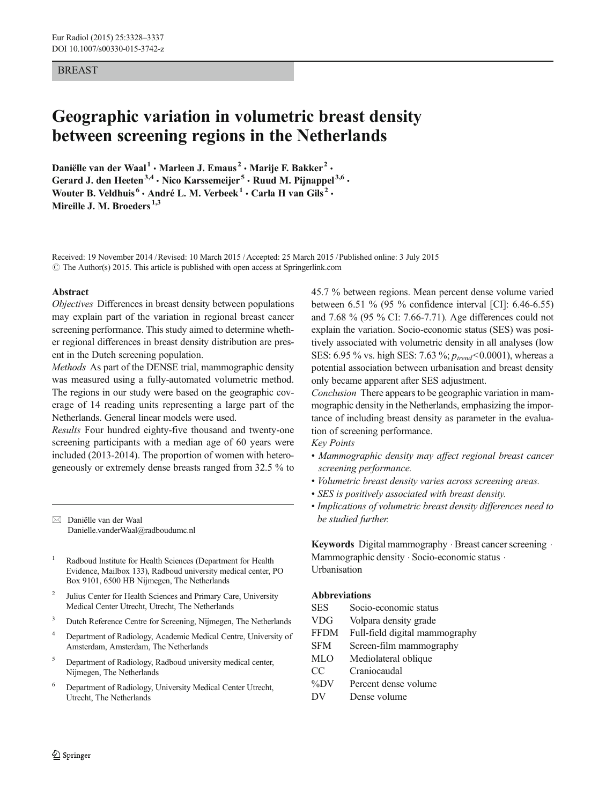# BREAST

# Geographic variation in volumetric breast density between screening regions in the Netherlands

Daniëlle van der Waal<sup>1</sup> · Marleen J. Emaus<sup>2</sup> · Marije F. Bakker<sup>2</sup> · Gerard J. den Heeten<sup>3,4</sup>  $\cdot$  Nico Karssemeijer<sup>5</sup>  $\cdot$  Ruud M. Pijnappel<sup>3,6</sup>  $\cdot$ Wouter B. Veldhuis<sup>6</sup> · André L. M. Verbeek<sup>1</sup> · Carla H van Gils<sup>2</sup> · Mireille J. M. Broeders<sup>1,3</sup>

Received: 19 November 2014 /Revised: 10 March 2015 /Accepted: 25 March 2015 /Published online: 3 July 2015  $\odot$  The Author(s) 2015. This article is published with open access at Springerlink.com

#### Abstract

Objectives Differences in breast density between populations may explain part of the variation in regional breast cancer screening performance. This study aimed to determine whether regional differences in breast density distribution are present in the Dutch screening population.

Methods As part of the DENSE trial, mammographic density was measured using a fully-automated volumetric method. The regions in our study were based on the geographic coverage of 14 reading units representing a large part of the Netherlands. General linear models were used.

Results Four hundred eighty-five thousand and twenty-one screening participants with a median age of 60 years were included (2013-2014). The proportion of women with heterogeneously or extremely dense breasts ranged from 32.5 % to

 $\boxtimes$  Daniëlle van der Waal Danielle.vanderWaal@radboudumc.nl

- <sup>1</sup> Radboud Institute for Health Sciences (Department for Health Evidence, Mailbox 133), Radboud university medical center, PO Box 9101, 6500 HB Nijmegen, The Netherlands
- <sup>2</sup> Julius Center for Health Sciences and Primary Care, University Medical Center Utrecht, Utrecht, The Netherlands
- <sup>3</sup> Dutch Reference Centre for Screening, Nijmegen, The Netherlands
- <sup>4</sup> Department of Radiology, Academic Medical Centre, University of Amsterdam, Amsterdam, The Netherlands
- <sup>5</sup> Department of Radiology, Radboud university medical center, Nijmegen, The Netherlands
- <sup>6</sup> Department of Radiology, University Medical Center Utrecht, Utrecht, The Netherlands

45.7 % between regions. Mean percent dense volume varied between 6.51 % (95 % confidence interval [CI]: 6.46-6.55) and 7.68 % (95 % CI: 7.66-7.71). Age differences could not explain the variation. Socio-economic status (SES) was positively associated with volumetric density in all analyses (low SES: 6.95 % vs. high SES: 7.63 %;  $p_{trend}$  < 0.0001), whereas a potential association between urbanisation and breast density only became apparent after SES adjustment.

Conclusion There appears to be geographic variation in mammographic density in the Netherlands, emphasizing the importance of including breast density as parameter in the evaluation of screening performance.

Key Points

- Mammographic density may affect regional breast cancer screening performance.
- Volumetric breast density varies across screening areas.
- SES is positively associated with breast density.
- Implications of volumetric breast density differences need to be studied further.

Keywords Digital mammography  $\cdot$  Breast cancer screening  $\cdot$ Mammographic density  $\cdot$  Socio-economic status  $\cdot$ Urbanisation

#### Abbreviations

- SES Socio-economic status
- VDG Volpara density grade
- FFDM Full-field digital mammography
- SFM Screen-film mammography
- MLO Mediolateral oblique
- CC Craniocaudal
- %DV Percent dense volume
- DV Dense volume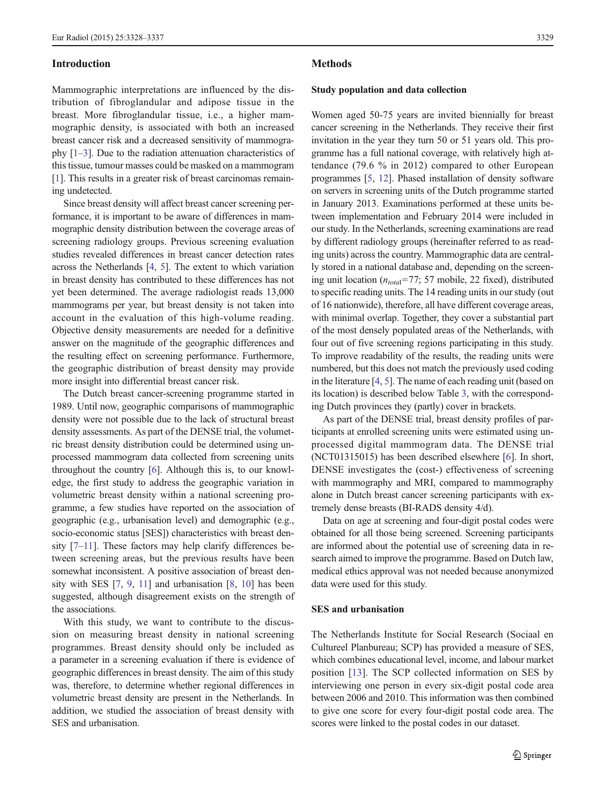#### Introduction

Mammographic interpretations are influenced by the distribution of fibroglandular and adipose tissue in the breast. More fibroglandular tissue, i.e., a higher mammographic density, is associated with both an increased breast cancer risk and a decreased sensitivity of mammography [\[1](#page-8-0)–[3\]](#page-8-0). Due to the radiation attenuation characteristics of this tissue, tumour masses could be masked on a mammogram [\[1](#page-8-0)]. This results in a greater risk of breast carcinomas remaining undetected.

Since breast density will affect breast cancer screening performance, it is important to be aware of differences in mammographic density distribution between the coverage areas of screening radiology groups. Previous screening evaluation studies revealed differences in breast cancer detection rates across the Netherlands [[4,](#page-8-0) [5](#page-8-0)]. The extent to which variation in breast density has contributed to these differences has not yet been determined. The average radiologist reads 13,000 mammograms per year, but breast density is not taken into account in the evaluation of this high-volume reading. Objective density measurements are needed for a definitive answer on the magnitude of the geographic differences and the resulting effect on screening performance. Furthermore, the geographic distribution of breast density may provide more insight into differential breast cancer risk.

The Dutch breast cancer-screening programme started in 1989. Until now, geographic comparisons of mammographic density were not possible due to the lack of structural breast density assessments. As part of the DENSE trial, the volumetric breast density distribution could be determined using unprocessed mammogram data collected from screening units throughout the country [\[6](#page-8-0)]. Although this is, to our knowledge, the first study to address the geographic variation in volumetric breast density within a national screening programme, a few studies have reported on the association of geographic (e.g., urbanisation level) and demographic (e.g., socio-economic status [SES]) characteristics with breast density [\[7](#page-8-0)–[11\]](#page-9-0). These factors may help clarify differences between screening areas, but the previous results have been somewhat inconsistent. A positive association of breast density with SES [[7,](#page-8-0) [9,](#page-8-0) [11\]](#page-9-0) and urbanisation [[8,](#page-8-0) [10\]](#page-9-0) has been suggested, although disagreement exists on the strength of the associations.

With this study, we want to contribute to the discussion on measuring breast density in national screening programmes. Breast density should only be included as a parameter in a screening evaluation if there is evidence of geographic differences in breast density. The aim of this study was, therefore, to determine whether regional differences in volumetric breast density are present in the Netherlands. In addition, we studied the association of breast density with SES and urbanisation.

#### **Methods**

#### Study population and data collection

Women aged 50-75 years are invited biennially for breast cancer screening in the Netherlands. They receive their first invitation in the year they turn 50 or 51 years old. This programme has a full national coverage, with relatively high attendance (79.6 % in 2012) compared to other European programmes [\[5](#page-8-0), [12\]](#page-9-0). Phased installation of density software on servers in screening units of the Dutch programme started in January 2013. Examinations performed at these units between implementation and February 2014 were included in our study. In the Netherlands, screening examinations are read by different radiology groups (hereinafter referred to as reading units) across the country. Mammographic data are centrally stored in a national database and, depending on the screening unit location  $(n_{total} = 77; 57 \text{ mobile}, 22 \text{ fixed})$ , distributed to specific reading units. The 14 reading units in our study (out of 16 nationwide), therefore, all have different coverage areas, with minimal overlap. Together, they cover a substantial part of the most densely populated areas of the Netherlands, with four out of five screening regions participating in this study. To improve readability of the results, the reading units were numbered, but this does not match the previously used coding in the literature [[4](#page-8-0), [5\]](#page-8-0). The name of each reading unit (based on its location) is described below Table [3,](#page-4-0) with the corresponding Dutch provinces they (partly) cover in brackets.

As part of the DENSE trial, breast density profiles of participants at enrolled screening units were estimated using unprocessed digital mammogram data. The DENSE trial (NCT01315015) has been described elsewhere [\[6](#page-8-0)]. In short, DENSE investigates the (cost-) effectiveness of screening with mammography and MRI, compared to mammography alone in Dutch breast cancer screening participants with extremely dense breasts (BI-RADS density 4/d).

Data on age at screening and four-digit postal codes were obtained for all those being screened. Screening participants are informed about the potential use of screening data in research aimed to improve the programme. Based on Dutch law, medical ethics approval was not needed because anonymized data were used for this study.

## SES and urbanisation

The Netherlands Institute for Social Research (Sociaal en Cultureel Planbureau; SCP) has provided a measure of SES, which combines educational level, income, and labour market position [[13](#page-9-0)]. The SCP collected information on SES by interviewing one person in every six-digit postal code area between 2006 and 2010. This information was then combined to give one score for every four-digit postal code area. The scores were linked to the postal codes in our dataset.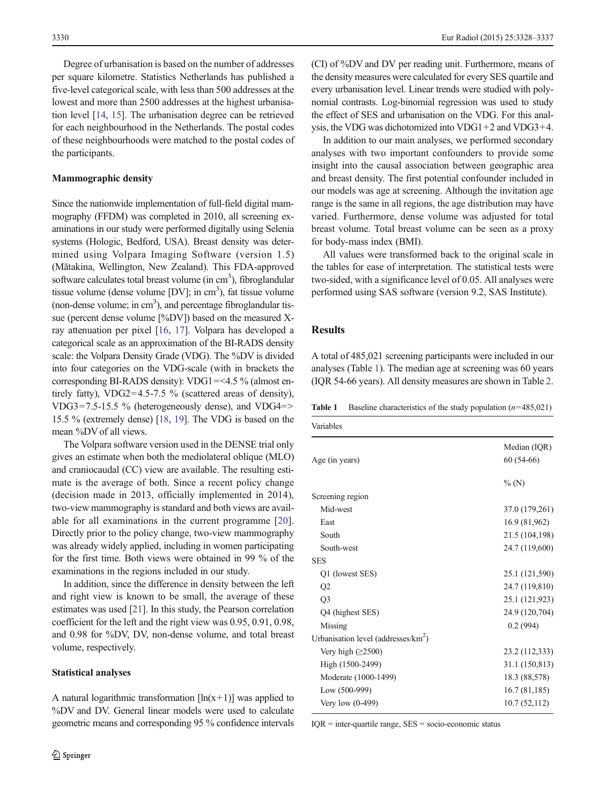Degree of urbanisation is based on the number of addresses per square kilometre. Statistics Netherlands has published a five-level categorical scale, with less than 500 addresses at the lowest and more than 2500 addresses at the highest urbanisation level [\[14,](#page-9-0) [15](#page-9-0)]. The urbanisation degree can be retrieved for each neighbourhood in the Netherlands. The postal codes of these neighbourhoods were matched to the postal codes of the participants.

#### Mammographic density

Since the nationwide implementation of full-field digital mammography (FFDM) was completed in 2010, all screening examinations in our study were performed digitally using Selenia systems (Hologic, Bedford, USA). Breast density was determined using Volpara Imaging Software (version 1.5) (Mātakina, Wellington, New Zealand). This FDA-approved software calculates total breast volume (in cm<sup>3</sup>), fibroglandular tissue volume (dense volume [DV]; in cm<sup>3</sup>), fat tissue volume (non-dense volume; in  $cm<sup>3</sup>$ ), and percentage fibroglandular tissue (percent dense volume [%DV]) based on the measured Xray attenuation per pixel [[16,](#page-9-0) [17\]](#page-9-0). Volpara has developed a categorical scale as an approximation of the BI-RADS density scale: the Volpara Density Grade (VDG). The %DV is divided into four categories on the VDG-scale (with in brackets the corresponding BI-RADS density): VDG1=<4.5 % (almost entirely fatty), VDG2=4.5-7.5 % (scattered areas of density), VDG3=7.5-15.5 % (heterogeneously dense), and VDG4=> 15.5 % (extremely dense) [\[18,](#page-9-0) [19\]](#page-9-0). The VDG is based on the mean %DV of all views.

The Volpara software version used in the DENSE trial only gives an estimate when both the mediolateral oblique (MLO) and craniocaudal (CC) view are available. The resulting estimate is the average of both. Since a recent policy change (decision made in 2013, officially implemented in 2014), two-view mammography is standard and both views are available for all examinations in the current programme [[20](#page-9-0)]. Directly prior to the policy change, two-view mammography was already widely applied, including in women participating for the first time. Both views were obtained in 99 % of the examinations in the regions included in our study.

In addition, since the difference in density between the left and right view is known to be small, the average of these estimates was used [\[21\]](#page-9-0). In this study, the Pearson correlation coefficient for the left and the right view was 0.95, 0.91, 0.98, and 0.98 for %DV, DV, non-dense volume, and total breast volume, respectively.

#### Statistical analyses

A natural logarithmic transformation  $[\ln(x+1)]$  was applied to %DV and DV. General linear models were used to calculate geometric means and corresponding 95 % confidence intervals (CI) of %DV and DV per reading unit. Furthermore, means of the density measures were calculated for every SES quartile and every urbanisation level. Linear trends were studied with polynomial contrasts. Log-binomial regression was used to study the effect of SES and urbanisation on the VDG. For this analysis, the VDG was dichotomized into VDG1+2 and VDG3+4.

In addition to our main analyses, we performed secondary analyses with two important confounders to provide some insight into the causal association between geographic area and breast density. The first potential confounder included in our models was age at screening. Although the invitation age range is the same in all regions, the age distribution may have varied. Furthermore, dense volume was adjusted for total breast volume. Total breast volume can be seen as a proxy for body-mass index (BMI).

All values were transformed back to the original scale in the tables for ease of interpretation. The statistical tests were two-sided, with a significance level of 0.05. All analyses were performed using SAS software (version 9.2, SAS Institute).

## **Results**

A total of 485,021 screening participants were included in our analyses (Table 1). The median age at screening was 60 years (IQR 54-66 years). All density measures are shown in Table [2.](#page-3-0)

**Table 1** Baseline characteristics of the study population  $(n=485,021)$ 

| Variables                               |                |
|-----------------------------------------|----------------|
|                                         | Median (IQR)   |
| Age (in years)                          | $60(54-66)$    |
|                                         | $\%$ (N)       |
| Screening region                        |                |
| Mid-west                                | 37.0 (179,261) |
| East                                    | 16.9 (81,962)  |
| South                                   | 21.5 (104,198) |
| South-west                              | 24.7 (119,600) |
| <b>SES</b>                              |                |
| Q1 (lowest SES)                         | 25.1 (121,590) |
| Q2                                      | 24.7 (119,810) |
| Q <sub>3</sub>                          | 25.1 (121,923) |
| Q4 (highest SES)                        | 24.9 (120,704) |
| Missing                                 | 0.2(994)       |
| Urbanisation level (addresses/ $km^2$ ) |                |
| Very high $(\geq 2500)$                 | 23.2 (112,333) |
| High (1500-2499)                        | 31.1 (150,813) |
| Moderate (1000-1499)                    | 18.3 (88,578)  |
| Low (500-999)                           | 16.7(81,185)   |
| Very low $(0-499)$                      | 10.7(52,112)   |

 $IQR =$  inter-quartile range,  $SES =$  socio-economic status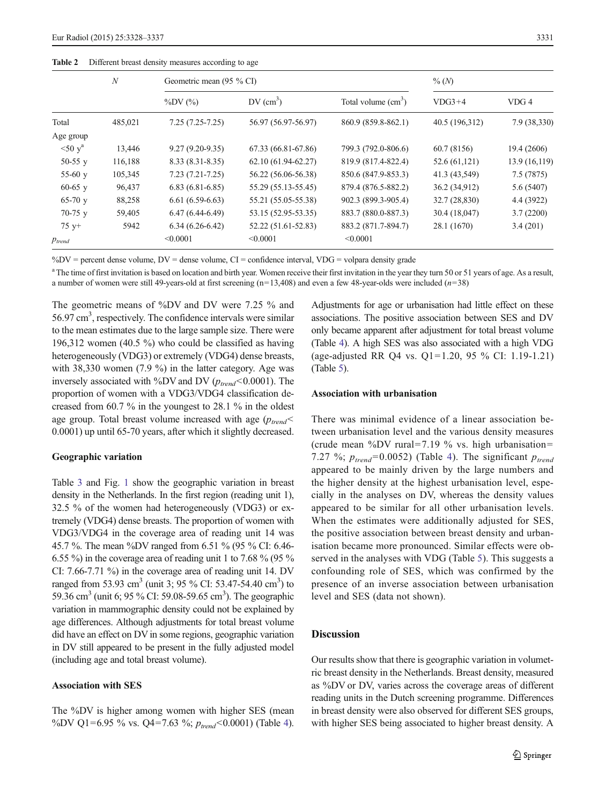# <span id="page-3-0"></span>Table 2 Different breast density measures according to age

|        | $%$ (N) |  |
|--------|---------|--|
| $\sim$ |         |  |

|             | $\boldsymbol{N}$ | Geometric mean (95 % CI) |                         |                      | $\%$ (N)       |               |
|-------------|------------------|--------------------------|-------------------------|----------------------|----------------|---------------|
|             |                  | $\%DV$ $(\%$             | $DV$ (cm <sup>3</sup> ) | Total volume $(cm3)$ | $VDG3+4$       | VDG 4         |
| Total       | 485,021          | $7.25(7.25-7.25)$        | 56.97 (56.97-56.97)     | 860.9 (859.8-862.1)  | 40.5 (196,312) | 7.9 (38,330)  |
| Age group   |                  |                          |                         |                      |                |               |
| $50y^a$     | 13,446           | $9.27(9.20-9.35)$        | 67.33 (66.81-67.86)     | 799.3 (792.0-806.6)  | 60.7 (8156)    | 19.4 (2606)   |
| 50-55 $v$   | 116,188          | $8.33(8.31 - 8.35)$      | 62.10 (61.94-62.27)     | 819.9 (817.4-822.4)  | 52.6 (61,121)  | 13.9 (16,119) |
| 55-60 $y$   | 105,345          | $7.23(7.21 - 7.25)$      | 56.22 (56.06-56.38)     | 850.6 (847.9-853.3)  | 41.3 (43,549)  | 7.5(7875)     |
| $60-65$ y   | 96,437           | $6.83(6.81-6.85)$        | 55.29 (55.13-55.45)     | 879.4 (876.5-882.2)  | 36.2 (34,912)  | 5.6 (5407)    |
| $65-70$ y   | 88,258           | $6.61(6.59-6.63)$        | 55.21 (55.05-55.38)     | 902.3 (899.3-905.4)  | 32.7 (28,830)  | 4.4 (3922)    |
| $70-75$ y   | 59,405           | $6.47(6.44-6.49)$        | 53.15 (52.95-53.35)     | 883.7 (880.0-887.3)  | 30.4 (18,047)  | 3.7(2200)     |
| $75 +$      | 5942             | $6.34(6.26-6.42)$        | 52.22 (51.61-52.83)     | 883.2 (871.7-894.7)  | 28.1 (1670)    | 3.4(201)      |
| $p_{trend}$ |                  | < 0.0001                 | < 0.0001                | < 0.0001             |                |               |

 $\%$ DV = percent dense volume, DV = dense volume, CI = confidence interval, VDG = volpara density grade

<sup>a</sup> The time of first invitation is based on location and birth year. Women receive their first invitation in the year they turn 50 or 51 years of age. As a result, a number of women were still 49-years-old at first screening  $(n=13,408)$  and even a few 48-year-olds were included  $(n=38)$ 

The geometric means of %DV and DV were 7.25 % and 56.97 cm<sup>3</sup>, respectively. The confidence intervals were similar to the mean estimates due to the large sample size. There were 196,312 women (40.5 %) who could be classified as having heterogeneously (VDG3) or extremely (VDG4) dense breasts, with 38,330 women (7.9 %) in the latter category. Age was inversely associated with %DV and DV ( $p_{trend}$ <0.0001). The proportion of women with a VDG3/VDG4 classification decreased from 60.7 % in the youngest to 28.1 % in the oldest age group. Total breast volume increased with age  $(p_{trend} <$ 0.0001) up until 65-70 years, after which it slightly decreased.

## Geographic variation

Table [3](#page-4-0) and Fig. [1](#page-5-0) show the geographic variation in breast density in the Netherlands. In the first region (reading unit 1), 32.5 % of the women had heterogeneously (VDG3) or extremely (VDG4) dense breasts. The proportion of women with VDG3/VDG4 in the coverage area of reading unit 14 was 45.7 %. The mean %DV ranged from 6.51 % (95 % CI: 6.46- 6.55 %) in the coverage area of reading unit 1 to 7.68 % (95 % CI: 7.66-7.71 %) in the coverage area of reading unit 14. DV ranged from 53.93 cm<sup>3</sup> (unit 3; 95 % CI: 53.47-54.40 cm<sup>3</sup>) to 59.36 cm<sup>3</sup> (unit 6; 95 % CI: 59.08-59.65 cm<sup>3</sup>). The geographic variation in mammographic density could not be explained by age differences. Although adjustments for total breast volume did have an effect on DV in some regions, geographic variation in DV still appeared to be present in the fully adjusted model (including age and total breast volume).

# Association with SES

The %DV is higher among women with higher SES (mean %DV Q1=6.95 % vs. Q4=7.63 %;  $p_{trend}$ <0.0001) (Table [4\)](#page-6-0).

Adjustments for age or urbanisation had little effect on these associations. The positive association between SES and DV only became apparent after adjustment for total breast volume (Table [4](#page-6-0)). A high SES was also associated with a high VDG (age-adjusted RR Q4 vs. Q1=1.20, 95 % CI: 1.19-1.21) (Table [5\)](#page-7-0).

## Association with urbanisation

There was minimal evidence of a linear association between urbanisation level and the various density measures (crude mean %DV rural=7.19 % vs. high urbanisation= 7.27 %;  $p_{trend} = 0.0052$ ) (Table [4\)](#page-6-0). The significant  $p_{trend}$ appeared to be mainly driven by the large numbers and the higher density at the highest urbanisation level, especially in the analyses on DV, whereas the density values appeared to be similar for all other urbanisation levels. When the estimates were additionally adjusted for SES, the positive association between breast density and urbanisation became more pronounced. Similar effects were observed in the analyses with VDG (Table [5](#page-7-0)). This suggests a confounding role of SES, which was confirmed by the presence of an inverse association between urbanisation level and SES (data not shown).

## Discussion

Our results show that there is geographic variation in volumetric breast density in the Netherlands. Breast density, measured as %DV or DV, varies across the coverage areas of different reading units in the Dutch screening programme. Differences in breast density were also observed for different SES groups, with higher SES being associated to higher breast density. A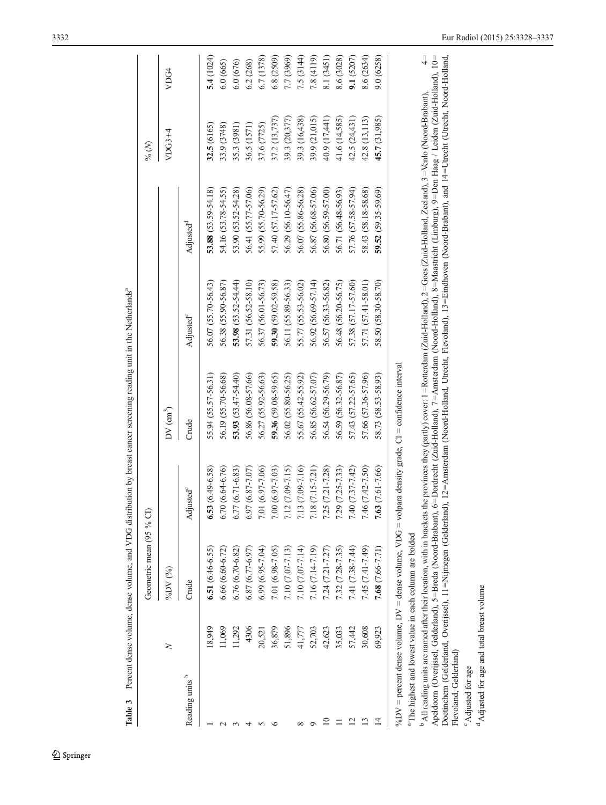<span id="page-4-0"></span>

|                            |        | Geometric mean (95 % CI)                                            |                        |                                                                                                      |                         |                                                                                                                                                                                                                                                                                                                                                                                                                                                                                                                               | $%$ $(N)$     |               |
|----------------------------|--------|---------------------------------------------------------------------|------------------------|------------------------------------------------------------------------------------------------------|-------------------------|-------------------------------------------------------------------------------------------------------------------------------------------------------------------------------------------------------------------------------------------------------------------------------------------------------------------------------------------------------------------------------------------------------------------------------------------------------------------------------------------------------------------------------|---------------|---------------|
|                            | $\geq$ | %DV (%)                                                             |                        | $DV$ $(\text{cm}^3)$                                                                                 |                         |                                                                                                                                                                                                                                                                                                                                                                                                                                                                                                                               | $VDG3+4$      | VDG4          |
| Reading units <sup>b</sup> |        | Crude                                                               | Adjusted <sup>e</sup>  | Crude                                                                                                | Adjusted <sup>c</sup>   | Adjusted <sup>d</sup>                                                                                                                                                                                                                                                                                                                                                                                                                                                                                                         |               |               |
|                            | 8.949  | 6.51 $(6.46 - 6.55)$                                                | $6.53(6.49-6.58)$      | 55.94 (55.57-56.31)                                                                                  | 56.07 (55.70-56.43)     | 53.88 (53.59-54.18)                                                                                                                                                                                                                                                                                                                                                                                                                                                                                                           | 32.5 (6165)   | 5.4(1024)     |
|                            | 11,069 | $6.66(6.60 - 6.72)$                                                 | $6.70(6.64 - 6.76)$    | 56.19 (55.70-56.68)                                                                                  | 56.38 (55.90-56.87)     | 54.16 (53.78-54.55)                                                                                                                                                                                                                                                                                                                                                                                                                                                                                                           | 33.9 (3748)   | 6.0 (665)     |
|                            | 11,292 | 6.76 (6.70-6.82)                                                    | $6.77(6.71-6.83)$      | 53.93 $(53.47 - 54.40)$                                                                              | 53.98 $(53.52 - 54.44)$ | 53.90 (53.52-54.28)                                                                                                                                                                                                                                                                                                                                                                                                                                                                                                           | 35.3 (3981)   | 6.0 (676)     |
|                            | 4306   | 6.87 (6.77-6.97)                                                    | $6.97(6.87 - 7.07)$    | 56.86 (56.08-57.66)                                                                                  | 57.31 (56.52-58.10)     | 56.41 (55.77-57.06)                                                                                                                                                                                                                                                                                                                                                                                                                                                                                                           | 36.5 (1571)   | 6.2 (268)     |
|                            | 20,521 | $6.99(6.95-7.04)$                                                   | $1(6.97-7.06)$<br>7.01 | 56.27 (55.92-56.63)                                                                                  | 56.37 (56.01-56.73)     | 55.99 (55.70-56.29)                                                                                                                                                                                                                                                                                                                                                                                                                                                                                                           | 37.6 (7725)   | 6.7 (1378)    |
|                            | 36,879 | 7.01 (6.98-7.05)                                                    | 7.00 (6.97-7.03)       | $59.36(59.08-59.65)$                                                                                 | $59.30(59.02 - 59.58)$  | 57.40 (57.17-57.62)                                                                                                                                                                                                                                                                                                                                                                                                                                                                                                           | 37.2 (13,737) | 6.8 (2509)    |
|                            | 51,896 | $7.10(7.07 - 7.13)$                                                 | $7.12(7.09 - 7.15)$    | 56.02 (55.80-56.25)                                                                                  | 56.11 (55.89-56.33)     | 56.29 (56.10-56.47)                                                                                                                                                                                                                                                                                                                                                                                                                                                                                                           | 39.3 (20,377) | 7.7 (3969)    |
|                            | 41,777 | 7.10 (7.07-7.14)                                                    | 7.13 (7.09-7.16)       | 55.67 (55.42-55.92)                                                                                  | 55.77 (55.53-56.02)     | 56.07 (55.86-56.28)                                                                                                                                                                                                                                                                                                                                                                                                                                                                                                           | 39.3 (16,438) | 7.5 (3144)    |
| o                          | 52,703 | 7.16 (7.14-7.19)                                                    | $7.18(7.15 - 7.21)$    | 56.85 (56.62-57.07)                                                                                  | 56.92 (56.69-57.14)     | 56.87 (56.68-57.06)                                                                                                                                                                                                                                                                                                                                                                                                                                                                                                           | 39.9 (21,015) | 7.8(4119)     |
|                            | 42,623 | $7.24(7.21 - 7.27)$                                                 | $7.25(7.21 - 7.28)$    | 56.54 (56.29-56.79)                                                                                  | 56.57 (56.33-56.82)     | 56.80 (56.59-57.00)                                                                                                                                                                                                                                                                                                                                                                                                                                                                                                           | 40.9 (17,441) | 8.1 (3451)    |
|                            | 35,033 | 7.32 (7.28-7.35)                                                    | $7.29(7.25-7.33)$      | 56.59 (56.32-56.87)                                                                                  | 56.48 (56.20-56.75)     | 56.71 (56.48-56.93)                                                                                                                                                                                                                                                                                                                                                                                                                                                                                                           | 41.6 (14,585) | 8.6 (3028)    |
|                            | 57,442 | 7.41 (7.38-7.44)                                                    | 7.40 (7.37-7.42)       | 57.43 (57.22-57.65)                                                                                  | 57.38 (57.17-57.60)     | 57.76 (57.58-57.94)                                                                                                                                                                                                                                                                                                                                                                                                                                                                                                           | 42.5 (24,431) | 9.1(5207)     |
|                            | 30,608 | 7.45 (7.41-7.49)                                                    | 7.46 (7.42-7.50)       | 57.66 (57.36-57.96)                                                                                  | 57.71 (57.41-58.01)     | 58.43 (58.18-58.68)                                                                                                                                                                                                                                                                                                                                                                                                                                                                                                           | 42.8 (13,113) | 8.6 (2634)    |
| $\overline{4}$             | 69,923 | $7.68(7.66 - 7.71)$                                                 | 7.63 (7.61-7.66)       | 58.73 (58.53-58.93)                                                                                  | 58.50 (58.30-58.70)     | 59.52 (59.35-59.69)                                                                                                                                                                                                                                                                                                                                                                                                                                                                                                           | 45.7 (31,985) | 9.0(6258)     |
|                            |        |                                                                     |                        | %DV = percent dense volume, DV = dense volume, VDG = volpara density grade, CI = confidence interval |                         |                                                                                                                                                                                                                                                                                                                                                                                                                                                                                                                               |               |               |
|                            |        | <sup>a</sup> The highest and lowest value in each column are bolded |                        |                                                                                                      |                         |                                                                                                                                                                                                                                                                                                                                                                                                                                                                                                                               |               |               |
|                            |        | Apeldoom (Overijssel, Gelderland), 5=Breda (Noord-Brabant),         |                        |                                                                                                      |                         | 6=Dordrecht (Zuid-Holland), 7=Amsterdam (Noord-Holland), 8=Maastricht (Limburg), 9=Den Haag / Leiden (Zuid-Holland), 10=<br>Doetinchem (Gelderland, Overijssel), 11=Nijmegen (Gelderland), 12=Amsterdam (Noord-Holland, Utrecht, Flevoland), 13=Eindhoven (Noord-Brabant), and 14=Utrecht (Utrecht, Noord-Holland,<br><sup>b</sup> All reading units are named after their location, with in brackets the provinces they (partly) cover: 1=Rotterdam (Zuid-Holland), 2=Goes (Zuid-Holland, Zeeland), 3=Venlo (Noord-Brabant), |               | $\frac{1}{4}$ |
| Flevoland, Gelderland)     |        |                                                                     |                        |                                                                                                      |                         |                                                                                                                                                                                                                                                                                                                                                                                                                                                                                                                               |               |               |

Table 3 Percent dense volume, dense volume, and VDG distribution by breast cancer screening reading unit in the Netherlands<sup>a</sup> Table 3 Percent dense volume, dense volume, and VDG distribution by breast cancer screening reading unit in the Netherlandsa

Flevoland, Gelderland) <sup>c</sup>Adjusted for age Adjusted for age

 $^{\rm d}$  Adjusted for age and total breast volume <sup>d</sup> Adjusted for age and total breast volume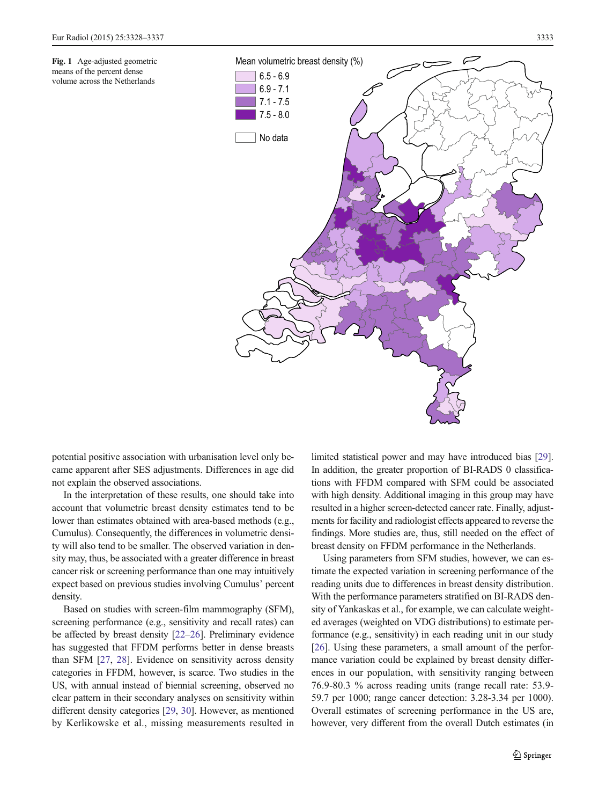<span id="page-5-0"></span>Fig. 1 Age-adjusted geometric means of the percent dense volume across the Netherlands



potential positive association with urbanisation level only became apparent after SES adjustments. Differences in age did not explain the observed associations.

In the interpretation of these results, one should take into account that volumetric breast density estimates tend to be lower than estimates obtained with area-based methods (e.g., Cumulus). Consequently, the differences in volumetric density will also tend to be smaller. The observed variation in density may, thus, be associated with a greater difference in breast cancer risk or screening performance than one may intuitively expect based on previous studies involving Cumulus' percent density.

Based on studies with screen-film mammography (SFM), screening performance (e.g., sensitivity and recall rates) can be affected by breast density [\[22](#page-9-0)–[26\]](#page-9-0). Preliminary evidence has suggested that FFDM performs better in dense breasts than SFM [[27](#page-9-0), [28\]](#page-9-0). Evidence on sensitivity across density categories in FFDM, however, is scarce. Two studies in the US, with annual instead of biennial screening, observed no clear pattern in their secondary analyses on sensitivity within different density categories [[29,](#page-9-0) [30\]](#page-9-0). However, as mentioned by Kerlikowske et al., missing measurements resulted in limited statistical power and may have introduced bias [\[29\]](#page-9-0). In addition, the greater proportion of BI-RADS 0 classifications with FFDM compared with SFM could be associated with high density. Additional imaging in this group may have resulted in a higher screen-detected cancer rate. Finally, adjustments for facility and radiologist effects appeared to reverse the findings. More studies are, thus, still needed on the effect of breast density on FFDM performance in the Netherlands.

Using parameters from SFM studies, however, we can estimate the expected variation in screening performance of the reading units due to differences in breast density distribution. With the performance parameters stratified on BI-RADS density of Yankaskas et al., for example, we can calculate weighted averages (weighted on VDG distributions) to estimate performance (e.g., sensitivity) in each reading unit in our study [\[26](#page-9-0)]. Using these parameters, a small amount of the performance variation could be explained by breast density differences in our population, with sensitivity ranging between 76.9-80.3 % across reading units (range recall rate: 53.9- 59.7 per 1000; range cancer detection: 3.28-3.34 per 1000). Overall estimates of screening performance in the US are, however, very different from the overall Dutch estimates (in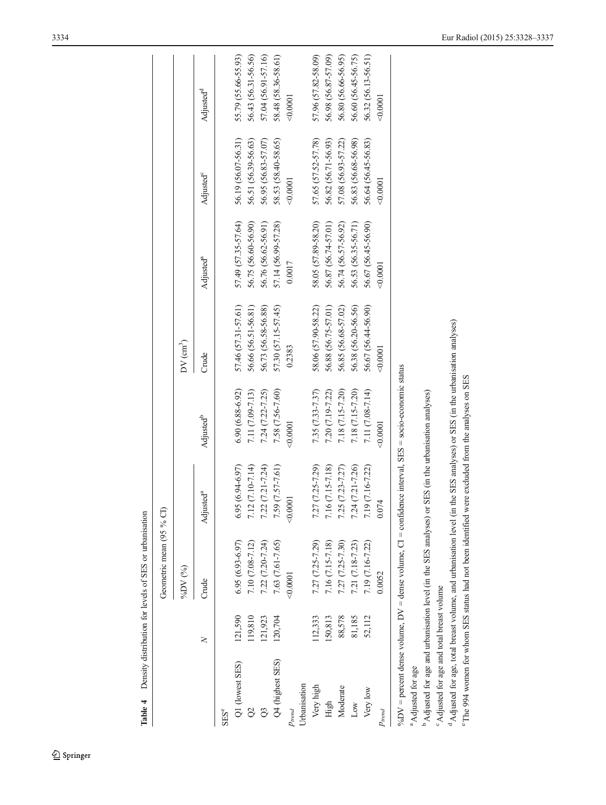<span id="page-6-0"></span>

|                               |         | Geometric mean (95 % CI)                                                                               |                       |                                    |                     |                       |                       |                       |
|-------------------------------|---------|--------------------------------------------------------------------------------------------------------|-----------------------|------------------------------------|---------------------|-----------------------|-----------------------|-----------------------|
|                               |         | %DV (%)                                                                                                |                       |                                    | $DV$ $(m^3)$        |                       |                       |                       |
|                               | $\geq$  | Crude                                                                                                  | Adjusted <sup>a</sup> | Adjusted <sup>b</sup>              | Crude               | Adjusted <sup>a</sup> | Adjusted <sup>c</sup> | Adjusted <sup>d</sup> |
| <b>SES<sup>e</sup></b>        |         |                                                                                                        |                       |                                    |                     |                       |                       |                       |
| Q1 (lowest SES)               | 121,590 | $6.95(6.93 - 6.97)$                                                                                    | $6.95(6.94-6.97)$     | $6.90(6.88-6.92)$                  | 57.46 (57.31-57.61) | 57.49 (57.35-57.64)   | 56.19 (56.07-56.31)   | 55.79 (55.66-55.93)   |
|                               | 119,810 | 7.10 (7.08-7.12)                                                                                       | 7.12 (7.10-7.14)      | 7.11 (7.09-7.13)                   | 56.66 (56.51-56.81) | 56.75 (56.60-56.90)   | 56.51 (56.39-56.63)   | 56.43 (56.31-56.56)   |
|                               | 121,923 | $7.22(7.20 - 7.24)$                                                                                    | $7.22(7.21 - 7.24)$   | 7.24 (7.22-7.25)                   | 56.73 (56.58-56.88) | 56.76 (56.62-56.91)   | 56.95 (56.83-57.07)   | 57.04 (56.91-57.16)   |
| Q4 (highest SES)              | 120,704 | 7.63 (7.61-7.65)                                                                                       | 7.59 (7.57-7.61)      | 7.58 (7.56-7.60)                   | 57.30 (57.15-57.45) | 57.14 (56.99-57.28)   | 58.53 (58.40-58.65)   | 58.48 (58.36-58.61)   |
| $P_{trend}$                   |         | 0.0001                                                                                                 | 0.0001                | 0.0001                             | 0.2383              | 0.0017                | 0.0001                | 0.0001                |
| Urbanisation                  |         |                                                                                                        |                       |                                    |                     |                       |                       |                       |
| Very high                     | 112,333 | 7.27 (7.25-7.29)                                                                                       | 7.27 (7.25-7.29)      | 7.35 (7.33-7.37)                   | 58.06 (57.90-58.22) | 58.05 (57.89-58.20)   | 57.65 (57.52-57.78)   | 57.96 (57.82-58.09)   |
| High                          | 150,813 | 7.16 (7.15-7.18)                                                                                       | 7.16 (7.15-7.18)      | 7.20 (7.19-7.22)                   | 56.88 (56.75-57.01) | 56.87 (56.74-57.01)   | 56.82 (56.71-56.93)   | 56.98 (56.87-57.09)   |
| Moderate                      | 88,578  | 7.27 (7.25-7.30)                                                                                       | $7.25(7.23 - 7.27)$   | 7.18 (7.15-7.20)                   | 56.85 (56.68-57.02) | 56.74 (56.57-56.92)   | 57.08 (56.93-57.22)   | 56.80 (56.66-56.95)   |
| Low                           | 81,185  | 7.21 (7.18-7.23)                                                                                       | 7.24 (7.21-7.26)      | 7.18 (7.15-7.20)                   | 56.38 (56.20-56.56) | 56.53 (56.35-56.71)   | 56.83 (56.68-56.98)   | 56.60 (56.45-56.75)   |
| Very low                      | 52,112  | 7.19 (7.16-7.22)                                                                                       | 7.19 (7.16-7.22)      | 7.11 (7.08-7.14)                   | 56.67 (56.44-56.90) | 56.67 (56.45-56.90)   | 56.64 (56.45-56.83)   | 56.32 (56.13-56.51)   |
| $p_{trend}$                   |         | 0.0052                                                                                                 | 0.074                 | 0.0001                             | 0.0001              | 0.0001                | 0.0001                | 0.0001                |
| <sup>a</sup> Adjusted for age |         | %DV = percent dense volume, DV = dense volume, $CI$ = confidence interval, SES = socio-economic status |                       |                                    |                     |                       |                       |                       |
|                               |         | <sup>b</sup> Adjusted for age and urbanisation level (in the SES analyses) or                          |                       | SES (in the urbanisation analyses) |                     |                       |                       |                       |

°.<br>Adjusted for age and total breast volume Adjusted for age and total breast volume

<sup>d</sup> Adjusted for age, total breast volume, and urbanisation level (in the SES analyses) or SES (in the urbanisation analyses) Adjusted for age, total breast volume, and urbanisation level (in the SES analyses) or SES (in the urbanisation analyses)

°The 994 women for whom SES status had not been identified were excluded from the analyses on SES The 994 women for whom SES status had not been identified were excluded from the analyses on SES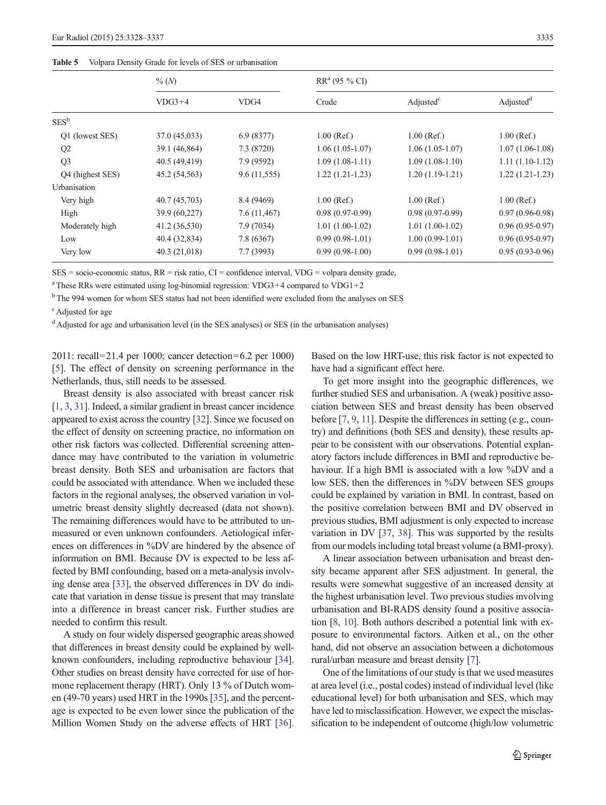#### <span id="page-7-0"></span>Table 5 Volpara Density Grade for levels of SES or urbanisation

|                  | $\%$ (N)      |              | $RR^a$ (95 % CI)  |                       |                       |  |
|------------------|---------------|--------------|-------------------|-----------------------|-----------------------|--|
|                  | $VDG3+4$      | VDG4         | Crude             | Adjusted <sup>c</sup> | Adjusted <sup>d</sup> |  |
| $SES^b$          |               |              |                   |                       |                       |  |
| Q1 (lowest SES)  | 37.0 (45,033) | 6.9(8377)    | $1.00$ (Ref.)     | $1.00$ (Ref.)         | $1.00$ (Ref.)         |  |
| Q2               | 39.1 (46,864) | 7.3 (8720)   | $1.06(1.05-1.07)$ | $1.06(1.05-1.07)$     | $1.07(1.06-1.08)$     |  |
| Q <sub>3</sub>   | 40.5 (49,419) | 7.9 (9592)   | $1.09(1.08-1.11)$ | $1.09(1.08-1.10)$     | $1.11(1.10-1.12)$     |  |
| Q4 (highest SES) | 45.2 (54,563) | 9.6(11,555)  | $1.22(1.21-1.23)$ | $1.20(1.19-1.21)$     | $1.22(1.21-1.23)$     |  |
| Urbanisation     |               |              |                   |                       |                       |  |
| Very high        | 40.7 (45,703) | 8.4 (9469)   | $1.00$ (Ref.)     | $1.00$ (Ref.)         | $1.00$ (Ref.)         |  |
| High             | 39.9 (60,227) | 7.6 (11,467) | $0.98(0.97-0.99)$ | $0.98(0.97-0.99)$     | $0.97(0.96 - 0.98)$   |  |
| Moderately high  | 41.2 (36,530) | 7.9 (7034)   | $1.01(1.00-1.02)$ | $1.01(1.00-1.02)$     | $0.96(0.95-0.97)$     |  |
| Low              | 40.4 (32,834) | 7.8 (6367)   | $0.99(0.98-1.01)$ | $1.00(0.99-1.01)$     | $0.96(0.95-0.97)$     |  |
| Very low         | 40.3(21,018)  | 7.7(3993)    | $0.99(0.98-1.00)$ | $0.99(0.98-1.01)$     | $0.95(0.93-0.96)$     |  |

 $SES = socio\text{-}economic status, RR = risk ratio, CI = confidence interval, VDG = volpara density grade,$ 

<sup>a</sup> These RRs were estimated using log-binomial regression: VDG3+4 compared to VDG1+2

<sup>b</sup> The 994 women for whom SES status had not been identified were excluded from the analyses on SES

<sup>c</sup> Adjusted for age

<sup>d</sup> Adjusted for age and urbanisation level (in the SES analyses) or SES (in the urbanisation analyses)

2011: recall=21.4 per 1000; cancer detection=6.2 per 1000) [\[5](#page-8-0)]. The effect of density on screening performance in the Netherlands, thus, still needs to be assessed.

Breast density is also associated with breast cancer risk [\[1](#page-8-0), [3](#page-8-0), [31\]](#page-9-0). Indeed, a similar gradient in breast cancer incidence appeared to exist across the country [[32](#page-9-0)]. Since we focused on the effect of density on screening practice, no information on other risk factors was collected. Differential screening attendance may have contributed to the variation in volumetric breast density. Both SES and urbanisation are factors that could be associated with attendance. When we included these factors in the regional analyses, the observed variation in volumetric breast density slightly decreased (data not shown). The remaining differences would have to be attributed to unmeasured or even unknown confounders. Aetiological inferences on differences in %DV are hindered by the absence of information on BMI. Because DV is expected to be less affected by BMI confounding, based on a meta-analysis involving dense area [[33](#page-9-0)], the observed differences in DV do indicate that variation in dense tissue is present that may translate into a difference in breast cancer risk. Further studies are needed to confirm this result.

A study on four widely dispersed geographic areas showed that differences in breast density could be explained by wellknown confounders, including reproductive behaviour [[34\]](#page-9-0). Other studies on breast density have corrected for use of hormone replacement therapy (HRT). Only 13 % of Dutch women (49-70 years) used HRT in the 1990s [[35\]](#page-9-0), and the percentage is expected to be even lower since the publication of the Million Women Study on the adverse effects of HRT [[36](#page-9-0)].

Based on the low HRT-use, this risk factor is not expected to have had a significant effect here.

To get more insight into the geographic differences, we further studied SES and urbanisation. A (weak) positive association between SES and breast density has been observed before [\[7,](#page-8-0) [9](#page-8-0), [11\]](#page-9-0). Despite the differences in setting (e.g., country) and definitions (both SES and density), these results appear to be consistent with our observations. Potential explanatory factors include differences in BMI and reproductive behaviour. If a high BMI is associated with a low %DV and a low SES, then the differences in %DV between SES groups could be explained by variation in BMI. In contrast, based on the positive correlation between BMI and DV observed in previous studies, BMI adjustment is only expected to increase variation in DV [\[37](#page-9-0), [38\]](#page-9-0). This was supported by the results from our models including total breast volume (a BMI-proxy).

A linear association between urbanisation and breast density became apparent after SES adjustment. In general, the results were somewhat suggestive of an increased density at the highest urbanisation level. Two previous studies involving urbanisation and BI-RADS density found a positive association [\[8](#page-8-0), [10](#page-9-0)]. Both authors described a potential link with exposure to environmental factors. Aitken et al., on the other hand, did not observe an association between a dichotomous rural/urban measure and breast density [\[7](#page-8-0)].

One of the limitations of our study is that we used measures at area level (i.e., postal codes) instead of individual level (like educational level) for both urbanisation and SES, which may have led to misclassification. However, we expect the misclassification to be independent of outcome (high/low volumetric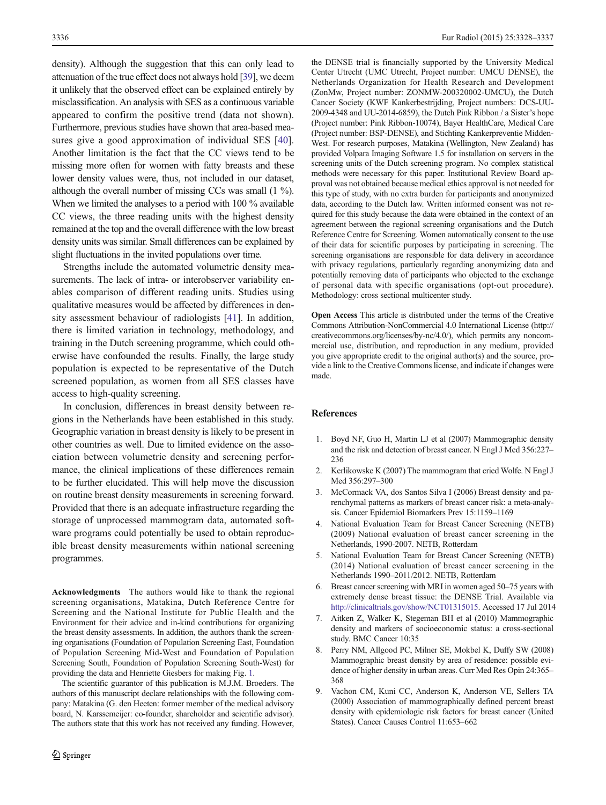<span id="page-8-0"></span>density). Although the suggestion that this can only lead to attenuation of the true effect does not always hold [\[39](#page-9-0)], we deem it unlikely that the observed effect can be explained entirely by misclassification. An analysis with SES as a continuous variable appeared to confirm the positive trend (data not shown). Furthermore, previous studies have shown that area-based mea-sures give a good approximation of individual SES [\[40](#page-9-0)]. Another limitation is the fact that the CC views tend to be missing more often for women with fatty breasts and these lower density values were, thus, not included in our dataset, although the overall number of missing CCs was small (1 %). When we limited the analyses to a period with 100 % available CC views, the three reading units with the highest density remained at the top and the overall difference with the low breast density units was similar. Small differences can be explained by slight fluctuations in the invited populations over time.

Strengths include the automated volumetric density measurements. The lack of intra- or interobserver variability enables comparison of different reading units. Studies using qualitative measures would be affected by differences in density assessment behaviour of radiologists [\[41](#page-9-0)]. In addition, there is limited variation in technology, methodology, and training in the Dutch screening programme, which could otherwise have confounded the results. Finally, the large study population is expected to be representative of the Dutch screened population, as women from all SES classes have access to high-quality screening.

In conclusion, differences in breast density between regions in the Netherlands have been established in this study. Geographic variation in breast density is likely to be present in other countries as well. Due to limited evidence on the association between volumetric density and screening performance, the clinical implications of these differences remain to be further elucidated. This will help move the discussion on routine breast density measurements in screening forward. Provided that there is an adequate infrastructure regarding the storage of unprocessed mammogram data, automated software programs could potentially be used to obtain reproducible breast density measurements within national screening programmes.

Acknowledgments The authors would like to thank the regional screening organisations, Matakina, Dutch Reference Centre for Screening and the National Institute for Public Health and the Environment for their advice and in-kind contributions for organizing the breast density assessments. In addition, the authors thank the screening organisations (Foundation of Population Screening East, Foundation of Population Screening Mid-West and Foundation of Population Screening South, Foundation of Population Screening South-West) for providing the data and Henriette Giesbers for making Fig. [1.](#page-5-0)

The scientific guarantor of this publication is M.J.M. Broeders. The authors of this manuscript declare relationships with the following company: Matakina (G. den Heeten: former member of the medical advisory board, N. Karssemeijer: co-founder, shareholder and scientific advisor). The authors state that this work has not received any funding. However, the DENSE trial is financially supported by the University Medical Center Utrecht (UMC Utrecht, Project number: UMCU DENSE), the Netherlands Organization for Health Research and Development (ZonMw, Project number: ZONMW-200320002-UMCU), the Dutch Cancer Society (KWF Kankerbestrijding, Project numbers: DCS-UU-2009-4348 and UU-2014-6859), the Dutch Pink Ribbon / a Sister's hope (Project number: Pink Ribbon-10074), Bayer HealthCare, Medical Care (Project number: BSP-DENSE), and Stichting Kankerpreventie Midden-West. For research purposes, Matakina (Wellington, New Zealand) has provided Volpara Imaging Software 1.5 for installation on servers in the screening units of the Dutch screening program. No complex statistical methods were necessary for this paper. Institutional Review Board approval was not obtained because medical ethics approval is not needed for this type of study, with no extra burden for participants and anonymized data, according to the Dutch law. Written informed consent was not required for this study because the data were obtained in the context of an agreement between the regional screening organisations and the Dutch Reference Centre for Screening. Women automatically consent to the use of their data for scientific purposes by participating in screening. The screening organisations are responsible for data delivery in accordance with privacy regulations, particularly regarding anonymizing data and potentially removing data of participants who objected to the exchange of personal data with specific organisations (opt-out procedure). Methodology: cross sectional multicenter study.

Open Access This article is distributed under the terms of the Creative Commons Attribution-NonCommercial 4.0 International License (http:// creativecommons.org/licenses/by-nc/4.0/), which permits any noncommercial use, distribution, and reproduction in any medium, provided you give appropriate credit to the original author(s) and the source, provide a link to the Creative Commons license, and indicate if changes were made.

# References

- 1. Boyd NF, Guo H, Martin LJ et al (2007) Mammographic density and the risk and detection of breast cancer. N Engl J Med 356:227– 236
- 2. Kerlikowske K (2007) The mammogram that cried Wolfe. N Engl J Med 356:297–300
- 3. McCormack VA, dos Santos Silva I (2006) Breast density and parenchymal patterns as markers of breast cancer risk: a meta-analysis. Cancer Epidemiol Biomarkers Prev 15:1159–1169
- 4. National Evaluation Team for Breast Cancer Screening (NETB) (2009) National evaluation of breast cancer screening in the Netherlands, 1990-2007. NETB, Rotterdam
- 5. National Evaluation Team for Breast Cancer Screening (NETB) (2014) National evaluation of breast cancer screening in the Netherlands 1990–2011/2012. NETB, Rotterdam
- 6. Breast cancer screening with MRI in women aged 50–75 years with extremely dense breast tissue: the DENSE Trial. Available via <http://clinicaltrials.gov/show/NCT01315015>. Accessed 17 Jul 2014
- 7. Aitken Z, Walker K, Stegeman BH et al (2010) Mammographic density and markers of socioeconomic status: a cross-sectional study. BMC Cancer 10:35
- 8. Perry NM, Allgood PC, Milner SE, Mokbel K, Duffy SW (2008) Mammographic breast density by area of residence: possible evidence of higher density in urban areas. Curr Med Res Opin 24:365– 368
- 9. Vachon CM, Kuni CC, Anderson K, Anderson VE, Sellers TA (2000) Association of mammographically defined percent breast density with epidemiologic risk factors for breast cancer (United States). Cancer Causes Control 11:653–662